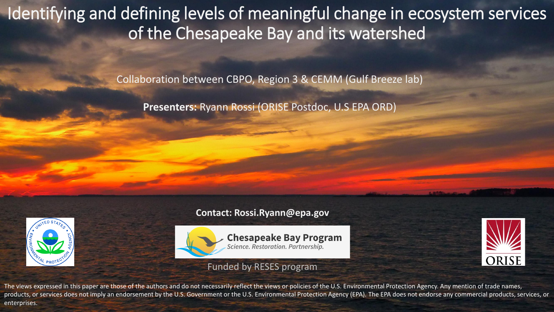Identifying and defining levels of meaningful change in ecosystem services of the Chesapeake Bay and its watershed

Collaboration between CBPO, Region 3 & CEMM (Gulf Breeze lab)

**Presenters:** Ryann Rossi (ORISE Postdoc, U.S EPA ORD)



#### **Contact: Rossi.Ryann@epa.gov**



**Chesapeake Bay Program**<br>Science. Restoration. Partnership.

#### Funded by RESES program



The views expressed in this paper are those of the authors and do not necessarily reflect the views or policies of the U.S. Environmental Protection Agency. Any mention of trade names, products, or services does not imply an endorsement by the U.S. Government or the U.S. Environmental Protection Agency (EPA). The EPA does not endorse any commercial products, services, or enterprises.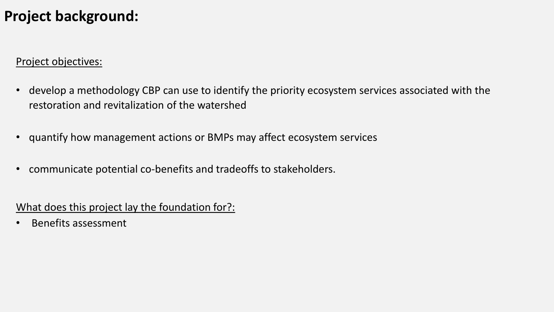### **Project background:**

#### Project objectives:

- develop a methodology CBP can use to identify the priority ecosystem services associated with the restoration and revitalization of the watershed
- quantify how management actions or BMPs may affect ecosystem services
- communicate potential co-benefits and tradeoffs to stakeholders.

What does this project lay the foundation for?:

• Benefits assessment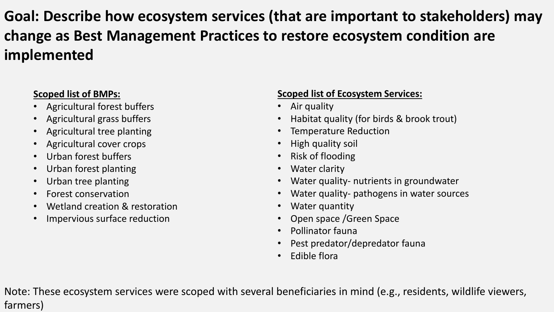# **Goal: Describe how ecosystem services (that are important to stakeholders) may change as Best Management Practices to restore ecosystem condition are implemented**

### **Scoped list of BMPs:**

- Agricultural forest buffers
- Agricultural grass buffers
- Agricultural tree planting
- Agricultural cover crops
- Urban forest buffers
- Urban forest planting
- Urban tree planting
- Forest conservation
- Wetland creation & restoration
- Impervious surface reduction

### **Scoped list of Ecosystem Services:**

- Air quality
- Habitat quality (for birds & brook trout)
- Temperature Reduction
- High quality soil
- Risk of flooding
- Water clarity
- Water quality- nutrients in groundwater
- Water quality- pathogens in water sources
- Water quantity
- Open space /Green Space
- Pollinator fauna
- Pest predator/depredator fauna
- Edible flora

Note: These ecosystem services were scoped with several beneficiaries in mind (e.g., residents, wildlife viewers, farmers)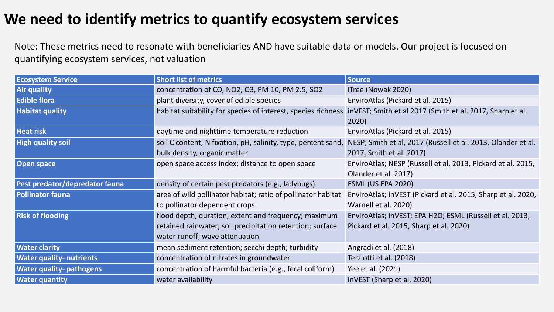## **We need to identify metrics to quantify ecosystem services**

Note: These metrics need to resonate with beneficiaries AND have suitable data or models. Our project is focused on quantifying ecosystem services, not valuation

| <b>Ecosystem Service</b>        | <b>Short list of metrics</b>                                  | <b>Source</b>                                                      |
|---------------------------------|---------------------------------------------------------------|--------------------------------------------------------------------|
| <b>Air quality</b>              | concentration of CO, NO2, O3, PM 10, PM 2.5, SO2              | iTree (Nowak 2020)                                                 |
| <b>Edible flora</b>             | plant diversity, cover of edible species                      | EnviroAtlas (Pickard et al. 2015)                                  |
| <b>Habitat quality</b>          | habitat suitability for species of interest, species richness | inVEST; Smith et al 2017 (Smith et al. 2017, Sharp et al.<br>2020) |
| <b>Heat risk</b>                | daytime and nighttime temperature reduction                   | EnviroAtlas (Pickard et al. 2015)                                  |
| <b>High quality soil</b>        | soil C content, N fixation, pH, salinity, type, percent sand, | NESP; Smith et al, 2017 (Russell et al. 2013, Olander et al.       |
|                                 | bulk density, organic matter                                  | 2017, Smith et al. 2017)                                           |
| <b>Open space</b>               | open space access index; distance to open space               | EnviroAtlas; NESP (Russell et al. 2013, Pickard et al. 2015,       |
|                                 |                                                               | Olander et al. 2017)                                               |
| Pest predator/depredator fauna  | density of certain pest predators (e.g., ladybugs)            | <b>ESML (US EPA 2020)</b>                                          |
| <b>Pollinator fauna</b>         | area of wild pollinator habitat; ratio of pollinator habitat  | EnviroAtlas; inVEST (Pickard et al. 2015, Sharp et al. 2020,       |
|                                 | to pollinator dependent crops                                 | Warnell et al. 2020)                                               |
| <b>Risk of flooding</b>         | flood depth, duration, extent and frequency; maximum          | EnviroAtlas; inVEST; EPA H2O; ESML (Russell et al. 2013,           |
|                                 | retained rainwater; soil precipitation retention; surface     | Pickard et al. 2015, Sharp et al. 2020)                            |
|                                 | water runoff; wave attenuation                                |                                                                    |
| <b>Water clarity</b>            | mean sediment retention; secchi depth; turbidity              | Angradi et al. (2018)                                              |
| <b>Water quality- nutrients</b> | concentration of nitrates in groundwater                      | Terziotti et al. (2018)                                            |
| <b>Water quality-pathogens</b>  | concentration of harmful bacteria (e.g., fecal coliform)      | Yee et al. (2021)                                                  |
| <b>Water quantity</b>           | water availability                                            | inVEST (Sharp et al. 2020)                                         |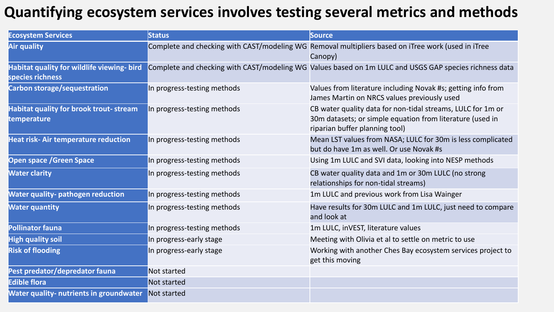# **Quantifying ecosystem services involves testing several metrics and methods**

| <b>Ecosystem Services</b>                                      | <b>Status</b>               | <b>Source</b>                                                                                                                                              |
|----------------------------------------------------------------|-----------------------------|------------------------------------------------------------------------------------------------------------------------------------------------------------|
| Air quality                                                    |                             | Complete and checking with CAST/modeling WG Removal multipliers based on iTree work (used in iTree<br>Canopy)                                              |
| Habitat quality for wildlife viewing- bird<br>species richness |                             | Complete and checking with CAST/modeling WG Values based on 1m LULC and USGS GAP species richness data                                                     |
| Carbon storage/sequestration                                   | In progress-testing methods | Values from literature including Novak #s; getting info from<br>James Martin on NRCS values previously used                                                |
| Habitat quality for brook trout- stream<br>temperature         | In progress-testing methods | CB water quality data for non-tidal streams, LULC for 1m or<br>30m datasets; or simple equation from literature (used in<br>riparian buffer planning tool) |
| <b>Heat risk-Air temperature reduction</b>                     | In progress-testing methods | Mean LST values from NASA; LULC for 30m is less complicated<br>but do have 1m as well. Or use Novak #s                                                     |
| <b>Open space / Green Space</b>                                | In progress-testing methods | Using 1m LULC and SVI data, looking into NESP methods                                                                                                      |
| <b>Water clarity</b>                                           | In progress-testing methods | CB water quality data and 1m or 30m LULC (no strong<br>relationships for non-tidal streams)                                                                |
| <b>Water quality- pathogen reduction</b>                       | In progress-testing methods | 1m LULC and previous work from Lisa Wainger                                                                                                                |
| <b>Water quantity</b>                                          | In progress-testing methods | Have results for 30m LULC and 1m LULC, just need to compare<br>and look at                                                                                 |
| <b>Pollinator fauna</b>                                        | In progress-testing methods | 1m LULC, inVEST, literature values                                                                                                                         |
| <b>High quality soil</b>                                       | In progress-early stage     | Meeting with Olivia et al to settle on metric to use                                                                                                       |
| <b>Risk of flooding</b>                                        | In progress-early stage     | Working with another Ches Bay ecosystem services project to<br>get this moving                                                                             |
| Pest predator/depredator fauna                                 | Not started                 |                                                                                                                                                            |
| <b>Edible flora</b>                                            | Not started                 |                                                                                                                                                            |
| <b>Water quality- nutrients in groundwater</b>                 | Not started                 |                                                                                                                                                            |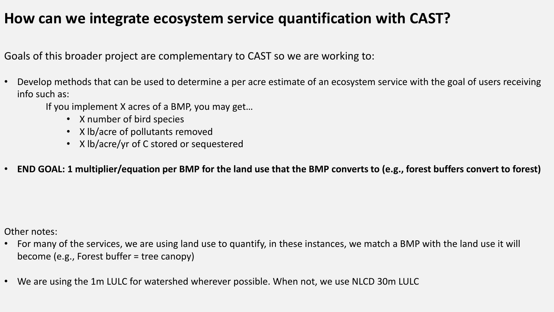## **How can we integrate ecosystem service quantification with CAST?**

Goals of this broader project are complementary to CAST so we are working to:

- Develop methods that can be used to determine a per acre estimate of an ecosystem service with the goal of users receiving info such as:
	- If you implement X acres of a BMP, you may get…
		- X number of bird species
		- X lb/acre of pollutants removed
		- X lb/acre/yr of C stored or sequestered
- **END GOAL: 1 multiplier/equation per BMP for the land use that the BMP converts to (e.g., forest buffers convert to forest)**

Other notes:

- For many of the services, we are using land use to quantify, in these instances, we match a BMP with the land use it will become (e.g., Forest buffer = tree canopy)
- We are using the 1m LULC for watershed wherever possible. When not, we use NLCD 30m LULC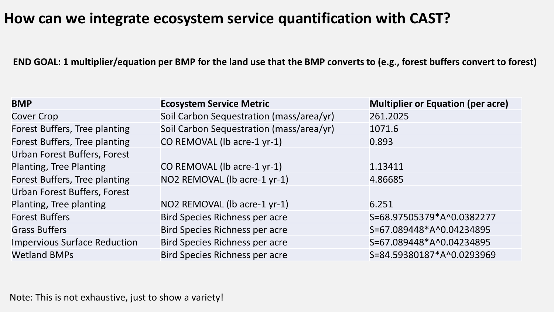### **How can we integrate ecosystem service quantification with CAST?**

**END GOAL: 1 multiplier/equation per BMP for the land use that the BMP converts to (e.g., forest buffers convert to forest)**

| <b>BMP</b>                          | <b>Ecosystem Service Metric</b>          | <b>Multiplier or Equation (per acre)</b> |
|-------------------------------------|------------------------------------------|------------------------------------------|
| <b>Cover Crop</b>                   | Soil Carbon Sequestration (mass/area/yr) | 261.2025                                 |
| Forest Buffers, Tree planting       | Soil Carbon Sequestration (mass/area/yr) | 1071.6                                   |
| Forest Buffers, Tree planting       | CO REMOVAL (lb acre-1 yr-1)              | 0.893                                    |
| Urban Forest Buffers, Forest        |                                          |                                          |
| Planting, Tree Planting             | CO REMOVAL (lb acre-1 yr-1)              | 1.13411                                  |
| Forest Buffers, Tree planting       | NO2 REMOVAL (lb acre-1 yr-1)             | 4.86685                                  |
| Urban Forest Buffers, Forest        |                                          |                                          |
| Planting, Tree planting             | NO2 REMOVAL (lb acre-1 yr-1)             | 6.251                                    |
| <b>Forest Buffers</b>               | <b>Bird Species Richness per acre</b>    | S=68.97505379*A^0.0382277                |
| <b>Grass Buffers</b>                | <b>Bird Species Richness per acre</b>    | S=67.089448*A^0.04234895                 |
| <b>Impervious Surface Reduction</b> | Bird Species Richness per acre           | S=67.089448*A^0.04234895                 |
| <b>Wetland BMPs</b>                 | Bird Species Richness per acre           | S=84.59380187*A^0.0293969                |

Note: This is not exhaustive, just to show a variety!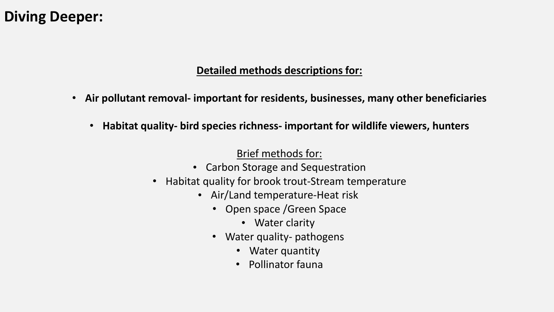### **Diving Deeper:**

#### **Detailed methods descriptions for:**

- **Air pollutant removal- important for residents, businesses, many other beneficiaries**
	- **Habitat quality- bird species richness- important for wildlife viewers, hunters**

### Brief methods for:

- Carbon Storage and Sequestration
- Habitat quality for brook trout-Stream temperature
	- Air/Land temperature-Heat risk
		- Open space /Green Space
			- Water clarity
		- Water quality- pathogens
			- Water quantity
			- Pollinator fauna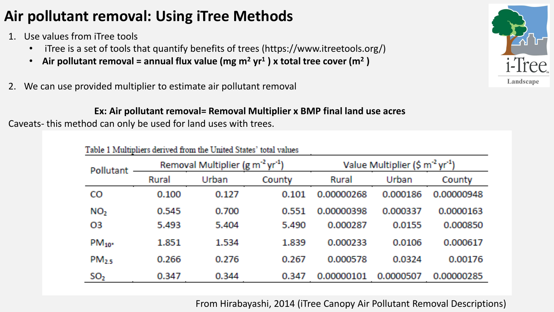# **Air pollutant removal: Using iTree Methods**

- 1. Use values from iTree tools
	- iTree is a set of tools that quantify benefits of trees (https://www.itreetools.org/)
	- **Air pollutant removal = annual flux value (mg m<sup>2</sup> yr<sup>1</sup> ) x total tree cover (m<sup>2</sup> )**
- 2. We can use provided multiplier to estimate air pollutant removal

#### **Ex: Air pollutant removal= Removal Multiplier x BMP final land use acres**

Caveats- this method can only be used for land uses with trees.

| Table 1 Multipliers derived from the United States' total values |                                                          |       |        |                                             |           |            |
|------------------------------------------------------------------|----------------------------------------------------------|-------|--------|---------------------------------------------|-----------|------------|
| Pollutant                                                        | Removal Multiplier (g m <sup>-2</sup> yr <sup>-1</sup> ) |       |        | Value Multiplier (\$ $m2$ yr <sup>1</sup> ) |           |            |
|                                                                  | Rural                                                    | Urban | County | Rural                                       | Urban     | County     |
| CO                                                               | 0.100                                                    | 0.127 | 0.101  | 0.00000268                                  | 0.000186  | 0.00000948 |
| NO <sub>2</sub>                                                  | 0.545                                                    | 0.700 | 0.551  | 0.00000398                                  | 0.000337  | 0.0000163  |
| О3                                                               | 5.493                                                    | 5.404 | 5.490  | 0.000287                                    | 0.0155    | 0.000850   |
| $PM_{10^*}$                                                      | 1.851                                                    | 1.534 | 1.839  | 0.000233                                    | 0.0106    | 0.000617   |
| $PM_{25}$                                                        | 0.266                                                    | 0.276 | 0.267  | 0.000578                                    | 0.0324    | 0.00176    |
| SO <sub>2</sub>                                                  | 0.347                                                    | 0.344 | 0.347  | 0.00000101                                  | 0.0000507 | 0.00000285 |

i-Tree Landscape

From Hirabayashi, 2014 (iTree Canopy Air Pollutant Removal Descriptions)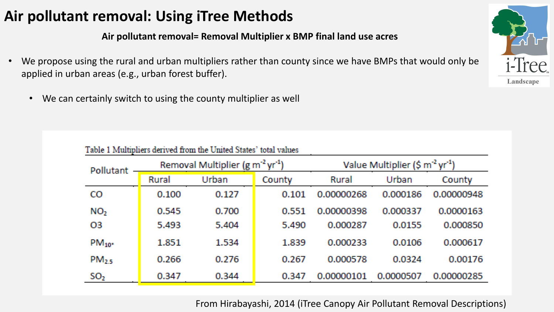## **Air pollutant removal: Using iTree Methods**

**Air pollutant removal= Removal Multiplier x BMP final land use acres**

- We propose using the rural and urban multipliers rather than county since we have BMPs that would only be applied in urban areas (e.g., urban forest buffer).
	- We can certainly switch to using the county multiplier as well

| Table 1 Multipliers derived from the United States' total values      |       |                                                  |        |            |           |            |
|-----------------------------------------------------------------------|-------|--------------------------------------------------|--------|------------|-----------|------------|
| Removal Multiplier (g m <sup>-2</sup> yr <sup>-1</sup> )<br>Pollutant |       | Value Multiplier (\$ $\text{m}^2 \text{ yr}^1$ ) |        |            |           |            |
|                                                                       | Rural | Urban                                            | County | Rural      | Urban     | County     |
| CO                                                                    | 0.100 | 0.127                                            | 0.101  | 0.00000268 | 0.000186  | 0.00000948 |
| NO <sub>2</sub>                                                       | 0.545 | 0.700                                            | 0.551  | 0.00000398 | 0.000337  | 0.0000163  |
| О3                                                                    | 5.493 | 5.404                                            | 5.490  | 0.000287   | 0.0155    | 0.000850   |
| $PM_{10}$                                                             | 1.851 | 1.534                                            | 1.839  | 0.000233   | 0.0106    | 0.000617   |
| $PM_{25}$                                                             | 0.266 | 0.276                                            | 0.267  | 0.000578   | 0.0324    | 0.00176    |
| SO <sub>2</sub>                                                       | 0.347 | 0.344                                            | 0.347  | 0.00000101 | 0.0000507 | 0.00000285 |



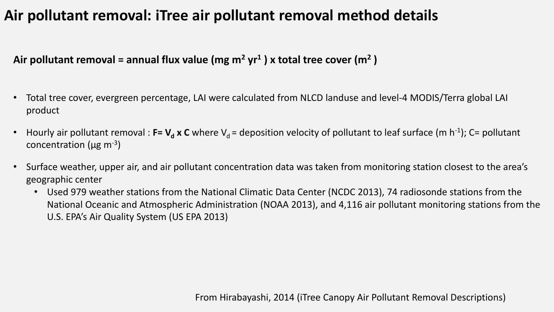## **Air pollutant removal: iTree air pollutant removal method details**

**Air pollutant removal = annual flux value (mg m<sup>2</sup> yr<sup>1</sup> ) x total tree cover (m<sup>2</sup> )**

- Total tree cover, evergreen percentage, LAI were calculated from NLCD landuse and level-4 MODIS/Terra global LAI product
- Hourly air pollutant removal :  $F=V_d$  x C where V<sub>d</sub> = deposition velocity of pollutant to leaf surface (m h<sup>-1</sup>); C= pollutant concentration ( $\mu$ g m<sup>-3</sup>)
- Surface weather, upper air, and air pollutant concentration data was taken from monitoring station closest to the area's geographic center
	- Used 979 weather stations from the National Climatic Data Center (NCDC 2013), 74 radiosonde stations from the National Oceanic and Atmospheric Administration (NOAA 2013), and 4,116 air pollutant monitoring stations from the U.S. EPA's Air Quality System (US EPA 2013)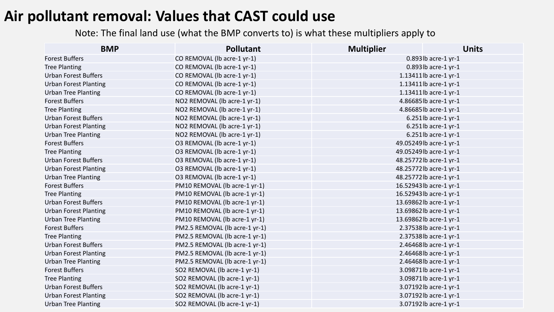### **Air pollutant removal: Values that CAST could use**

Note: The final land use (what the BMP converts to) is what these multipliers apply to

| <b>BMP</b>                   | <b>Pollutant</b>               | <b>Multiplier</b> | <b>Units</b>           |
|------------------------------|--------------------------------|-------------------|------------------------|
| <b>Forest Buffers</b>        | CO REMOVAL (lb acre-1 yr-1)    |                   | 0.893lb acre-1 yr-1    |
| <b>Tree Planting</b>         | CO REMOVAL (Ib acre-1 yr-1)    |                   | 0.893lb acre-1 yr-1    |
| <b>Urban Forest Buffers</b>  | CO REMOVAL (Ib acre-1 yr-1)    |                   | 1.13411lb acre-1 yr-1  |
| <b>Urban Forest Planting</b> | CO REMOVAL (Ib acre-1 yr-1)    |                   | 1.13411lb acre-1 yr-1  |
| <b>Urban Tree Planting</b>   | CO REMOVAL (Ib acre-1 yr-1)    |                   | 1.13411lb acre-1 yr-1  |
| <b>Forest Buffers</b>        | NO2 REMOVAL (lb acre-1 yr-1)   |                   | 4.86685lb acre-1 yr-1  |
| <b>Tree Planting</b>         | NO2 REMOVAL (lb acre-1 yr-1)   |                   | 4.86685lb acre-1 yr-1  |
| <b>Urban Forest Buffers</b>  | NO2 REMOVAL (lb acre-1 yr-1)   |                   | $6.251$ lb acre-1 yr-1 |
| <b>Urban Forest Planting</b> | NO2 REMOVAL (lb acre-1 yr-1)   |                   | 6.251lb acre-1 yr-1    |
| <b>Urban Tree Planting</b>   | NO2 REMOVAL (lb acre-1 yr-1)   |                   | 6.251lb acre-1 yr-1    |
| <b>Forest Buffers</b>        | O3 REMOVAL (lb acre-1 yr-1)    |                   | 49.05249lb acre-1 yr-1 |
| <b>Tree Planting</b>         | O3 REMOVAL (lb acre-1 yr-1)    |                   | 49.05249lb acre-1 yr-1 |
| <b>Urban Forest Buffers</b>  | O3 REMOVAL (lb acre-1 yr-1)    |                   | 48.25772lb acre-1 yr-1 |
| <b>Urban Forest Planting</b> | O3 REMOVAL (lb acre-1 yr-1)    |                   | 48.25772lb acre-1 yr-1 |
| <b>Urban Tree Planting</b>   | O3 REMOVAL (lb acre-1 yr-1)    |                   | 48.25772lb acre-1 yr-1 |
| <b>Forest Buffers</b>        | PM10 REMOVAL (lb acre-1 yr-1)  |                   | 16.52943lb acre-1 yr-1 |
| <b>Tree Planting</b>         | PM10 REMOVAL (lb acre-1 yr-1)  |                   | 16.52943lb acre-1 yr-1 |
| <b>Urban Forest Buffers</b>  | PM10 REMOVAL (lb acre-1 yr-1)  |                   | 13.69862lb acre-1 yr-1 |
| <b>Urban Forest Planting</b> | PM10 REMOVAL (lb acre-1 yr-1)  |                   | 13.69862lb acre-1 yr-1 |
| <b>Urban Tree Planting</b>   | PM10 REMOVAL (Ib acre-1 yr-1)  |                   | 13.69862lb acre-1 yr-1 |
| <b>Forest Buffers</b>        | PM2.5 REMOVAL (lb acre-1 yr-1) |                   | 2.37538lb acre-1 yr-1  |
| <b>Tree Planting</b>         | PM2.5 REMOVAL (Ib acre-1 yr-1) |                   | 2.37538lb acre-1 yr-1  |
| <b>Urban Forest Buffers</b>  | PM2.5 REMOVAL (Ib acre-1 yr-1) |                   | 2.46468lb acre-1 yr-1  |
| <b>Urban Forest Planting</b> | PM2.5 REMOVAL (lb acre-1 yr-1) |                   | 2.46468lb acre-1 yr-1  |
| <b>Urban Tree Planting</b>   | PM2.5 REMOVAL (Ib acre-1 yr-1) |                   | 2.46468lb acre-1 yr-1  |
| <b>Forest Buffers</b>        | SO2 REMOVAL (lb acre-1 yr-1)   |                   | 3.09871lb acre-1 yr-1  |
| <b>Tree Planting</b>         | SO2 REMOVAL (lb acre-1 yr-1)   |                   | 3.09871lb acre-1 yr-1  |
| <b>Urban Forest Buffers</b>  | SO2 REMOVAL (lb acre-1 yr-1)   |                   | 3.07192lb acre-1 yr-1  |
| <b>Urban Forest Planting</b> | SO2 REMOVAL (lb acre-1 yr-1)   |                   | 3.07192lb acre-1 yr-1  |
| <b>Urban Tree Planting</b>   | SO2 REMOVAL (lb acre-1 yr-1)   |                   | 3.07192lb acre-1 yr-1  |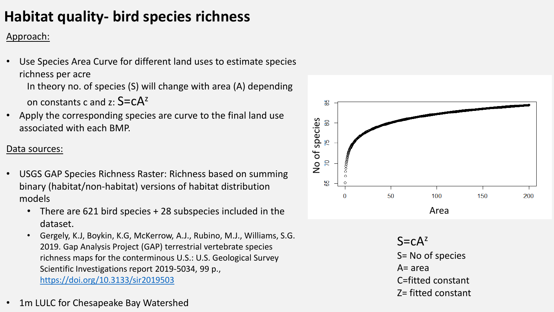# **Habitat quality- bird species richness**

#### Approach:

- Use Species Area Curve for different land uses to estimate species richness per acre In theory no. of species (S) will change with area (A) depending on constants c and z:  $S = cA^2$
- Apply the corresponding species are curve to the final land use associated with each BMP.

#### Data sources:

- USGS GAP Species Richness Raster: Richness based on summing binary (habitat/non-habitat) versions of habitat distribution models
	- There are 621 bird species + 28 subspecies included in the dataset.
	- Gergely, K.J, Boykin, K.G, McKerrow, A.J., Rubino, M.J., Williams, S.G. 2019. Gap Analysis Project (GAP) terrestrial vertebrate species richness maps for the conterminous U.S.: U.S. Geological Survey Scientific Investigations report 2019-5034, 99 p., <https://doi.org/10.3133/sir2019503>
- 1m LULC for Chesapeake Bay Watershed



- $A = area$
- C=fitted constant
- Z= fitted constant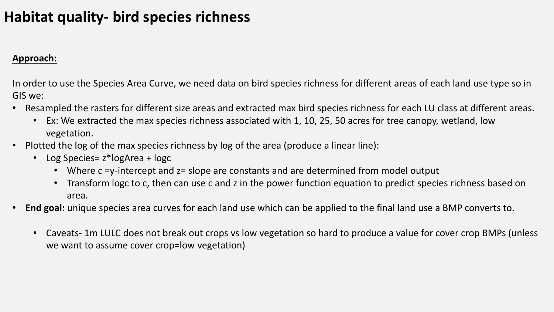## **Habitat quality- bird species richness**

#### **Approach:**

In order to use the Species Area Curve, we need data on bird species richness for different areas of each land use type so in GIS we:

- Resampled the rasters for different size areas and extracted max bird species richness for each LU class at different areas.
	- Ex: We extracted the max species richness associated with 1, 10, 25, 50 acres for tree canopy, wetland, low vegetation.
- Plotted the log of the max species richness by log of the area (produce a linear line):
	- Log Species= z\*logArea + logc
		- Where c =y-intercept and z= slope are constants and are determined from model output
		- Transform logc to c, then can use c and z in the power function equation to predict species richness based on area.
- **End goal:** unique species area curves for each land use which can be applied to the final land use a BMP converts to.
	- Caveats- 1m LULC does not break out crops vs low vegetation so hard to produce a value for cover crop BMPs (unless we want to assume cover crop=low vegetation)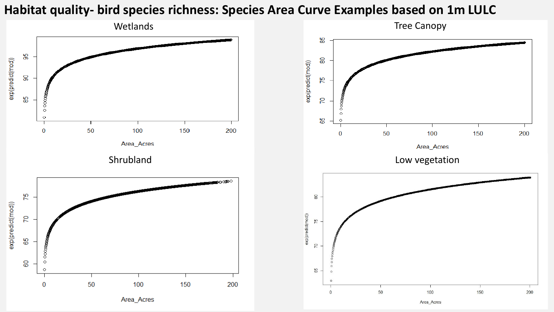### **Habitat quality- bird species richness: Species Area Curve Examples based on 1m LULC**



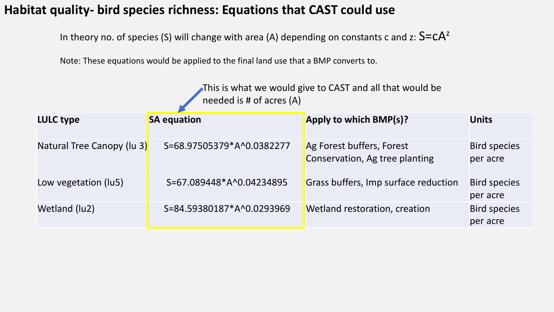### **Habitat quality- bird species richness: Equations that CAST could use**

In theory no. of species (S) will change with area (A) depending on constants c and z:  $S=CA^z$ 

Note: These equations would be applied to the final land use that a BMP converts to.

This is what we would give to CAST and all that would be needed is # of acres (A)

| <b>LULC type</b>           | <b>SA equation</b>        | Apply to which BMP(s)?                                      | <b>Units</b>                    |
|----------------------------|---------------------------|-------------------------------------------------------------|---------------------------------|
| Natural Tree Canopy (lu 3) | S=68.97505379*A^0.0382277 | Ag Forest buffers, Forest<br>Conservation, Ag tree planting | <b>Bird species</b><br>per acre |
| Low vegetation (lu5)       | S=67.089448*A^0.04234895  | Grass buffers, Imp surface reduction                        | <b>Bird species</b><br>per acre |
| Wetland (lu2)              | S=84.59380187*A^0.0293969 | Wetland restoration, creation                               | <b>Bird species</b><br>per acre |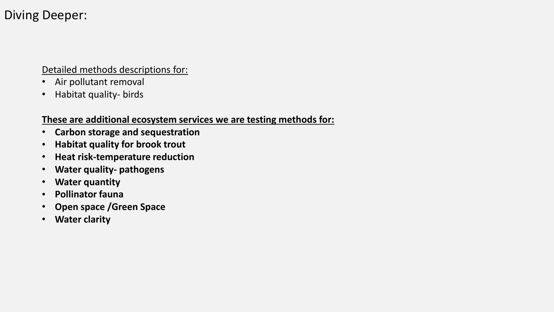### Diving Deeper:

Detailed methods descriptions for:

- Air pollutant removal
- Habitat quality- birds

#### **These are additional ecosystem services we are testing methods for:**

- **Carbon storage and sequestration**
- **Habitat quality for brook trout**
- **Heat risk-temperature reduction**
- **Water quality- pathogens**
- **Water quantity**
- **Pollinator fauna**
- **Open space /Green Space**
- **Water clarity**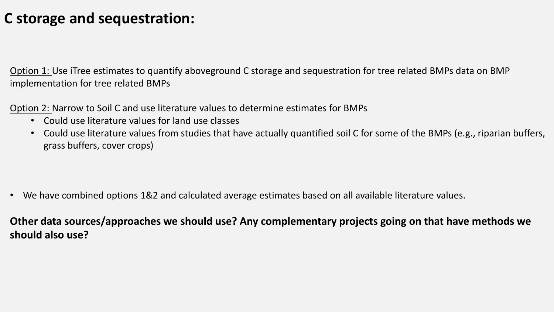### **C storage and sequestration:**

Option 1: Use iTree estimates to quantify aboveground C storage and sequestration for tree related BMPs data on BMP implementation for tree related BMPs

Option 2: Narrow to Soil C and use literature values to determine estimates for BMPs

- Could use literature values for land use classes
- Could use literature values from studies that have actually quantified soil C for some of the BMPs (e.g., riparian buffers, grass buffers, cover crops)

• We have combined options 1&2 and calculated average estimates based on all available literature values.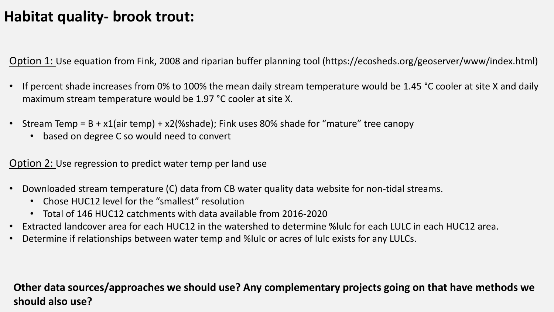## **Habitat quality- brook trout:**

Option 1: Use equation from Fink, 2008 and riparian buffer planning tool (https://ecosheds.org/geoserver/www/index.html)

- If percent shade increases from 0% to 100% the mean daily stream temperature would be 1.45 °C cooler at site X and daily maximum stream temperature would be 1.97 °C cooler at site X.
- Stream Temp = B + x1(air temp) + x2(%shade); Fink uses 80% shade for "mature" tree canopy
	- based on degree C so would need to convert

Option 2: Use regression to predict water temp per land use

- Downloaded stream temperature (C) data from CB water quality data website for non-tidal streams.
	- Chose HUC12 level for the "smallest" resolution
	- Total of 146 HUC12 catchments with data available from 2016-2020
- Extracted landcover area for each HUC12 in the watershed to determine %lulc for each LULC in each HUC12 area.
- Determine if relationships between water temp and %lulc or acres of lulc exists for any LULCs.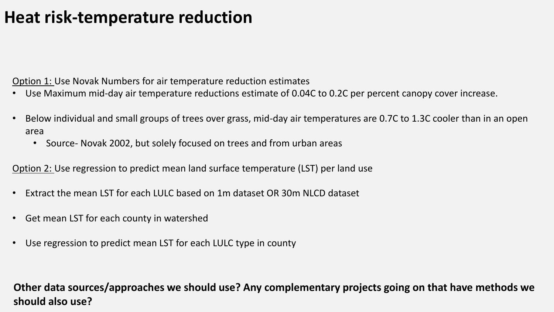# **Heat risk-temperature reduction**

Option 1: Use Novak Numbers for air temperature reduction estimates

- Use Maximum mid-day air temperature reductions estimate of 0.04C to 0.2C per percent canopy cover increase.
- Below individual and small groups of trees over grass, mid-day air temperatures are 0.7C to 1.3C cooler than in an open area
	- Source- Novak 2002, but solely focused on trees and from urban areas

Option 2: Use regression to predict mean land surface temperature (LST) per land use

- Extract the mean LST for each LULC based on 1m dataset OR 30m NLCD dataset
- Get mean LST for each county in watershed
- Use regression to predict mean LST for each LULC type in county